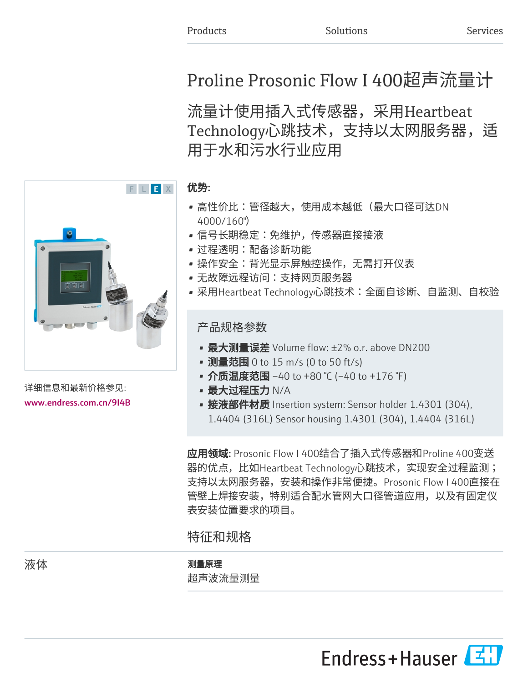# Proline Prosonic Flow I 400超声流量计

流量计使用插入式传感器,采用Heartbeat **Technology心跳技术,支持以太网服务器,适** 用于水和污水行业应用

# 优势:

F L E X

- 高性价比:管径越大,使用成本越低(最大口径可达DN 4000/160")
- 信号长期稳定:免维护,传感器直接接液
- 过程透明:配备诊断功能
- 操作安全:背光显示屏触控操作,无需打开仪表
- 无故障远程访问:支持网页服务器
- 采用Heartbeat Technology心跳技术:全面自诊断、自监测、自校验

# 产品规格参数

- 最大测量误差 Volume flow: ±2% o.r. above DN200
- 测量范围 0 to 15 m/s (0 to 50 ft/s)
- 介质温度范围 –40 to +80 °C (–40 to +176 °F)
- · 最大过程压力 N/A
- 接液部件材质 Insertion system: Sensor holder 1.4301 (304), 1.4404 (316L) Sensor housing 1.4301 (304), 1.4404 (316L)

应用领域: Prosonic Flow I 400结合了插入式传感器和Proline 400变送 器的优点,比如Heartbeat Technology心跳技术,实现安全过程监测; 支持以太网服务器,安装和操作非常便捷。Prosonic Flow I 400直接在 管壁上焊接安装,特别适合配水管网大口径管道应用,以及有固定仪 表安装位置要求的项目。

特征和规格



[www.endress.com.cn/9I4B](https://www.endress.com.cn/9I4B)

液体 あいしゃ あいしゃ アンチン 測量原理 超声波流量测量

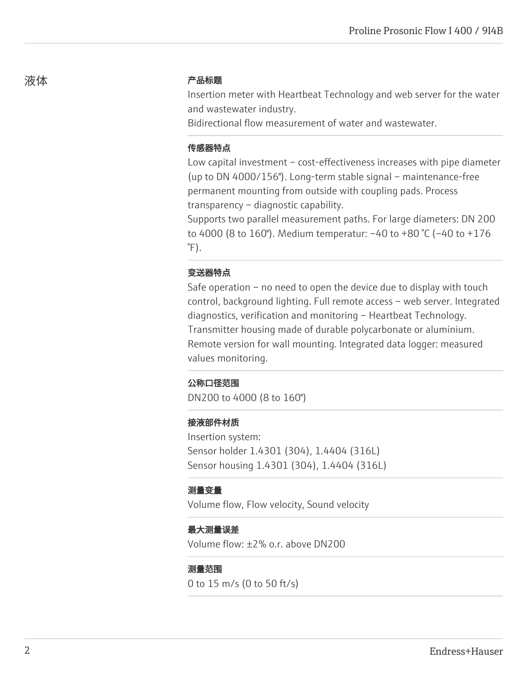## 液体 しゅうしゃ こうしゃ こうしゃ 产品标题

Insertion meter with Heartbeat Technology and web server for the water and wastewater industry.

Bidirectional flow measurement of water and wastewater.

## 传感器特点

Low capital investment – cost-effectiveness increases with pipe diameter (up to DN 4000/156"). Long-term stable signal – maintenance-free permanent mounting from outside with coupling pads. Process transparency – diagnostic capability.

Supports two parallel measurement paths. For large diameters: DN 200 to 4000 (8 to 160"). Medium temperatur: –40 to +80 °C (–40 to +176  $\degree$ F).

## 变送器特点

Safe operation – no need to open the device due to display with touch control, background lighting. Full remote access – web server. Integrated diagnostics, verification and monitoring – Heartbeat Technology. Transmitter housing made of durable polycarbonate or aluminium. Remote version for wall mounting. Integrated data logger: measured values monitoring.

## 公称口径范围

DN200 to 4000 (8 to 160")

## 接液部件材质

Insertion system: Sensor holder 1.4301 (304), 1.4404 (316L) Sensor housing 1.4301 (304), 1.4404 (316L)

## 测量变量

Volume flow, Flow velocity, Sound velocity

## 最大测量误差

Volume flow: ±2% o.r. above DN200

## 测量范围

0 to 15 m/s (0 to 50 ft/s)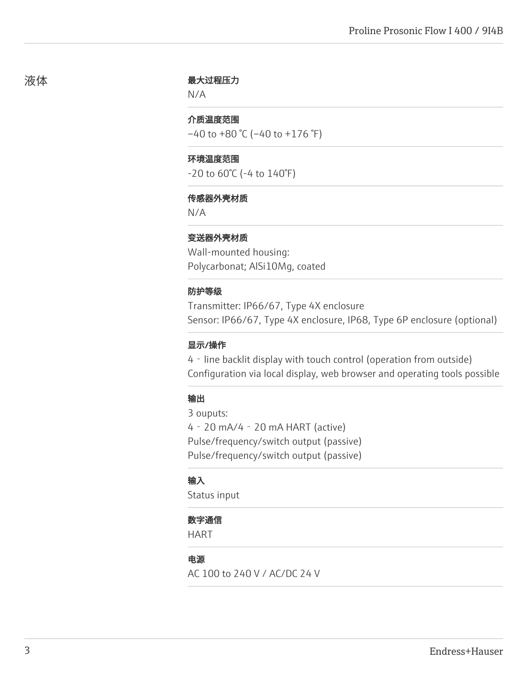#### 最大过程压力

N/A

## 介质温度范围

 $-40$  to  $+80$  °C ( $-40$  to  $+176$  °F)

## 环境温度范围

-20 to 60°C (-4 to 140°F)

#### 传感器外壳材质

N/A

## 变送器外壳材质

Wall-mounted housing: Polycarbonat; AlSi10Mg, coated

#### 防护等级

Transmitter: IP66/67, Type 4X enclosure Sensor: IP66/67, Type 4X enclosure, IP68, Type 6P enclosure (optional)

#### 显示/操作

4‐line backlit display with touch control (operation from outside) Configuration via local display, web browser and operating tools possible

#### 输出

3 ouputs: 4‐20 mA/4‐20 mA HART (active) Pulse/frequency/switch output (passive) Pulse/frequency/switch output (passive)

## 输入

Status input

#### 数字通信

HART

## 电源

AC 100 to 240 V / AC/DC 24 V